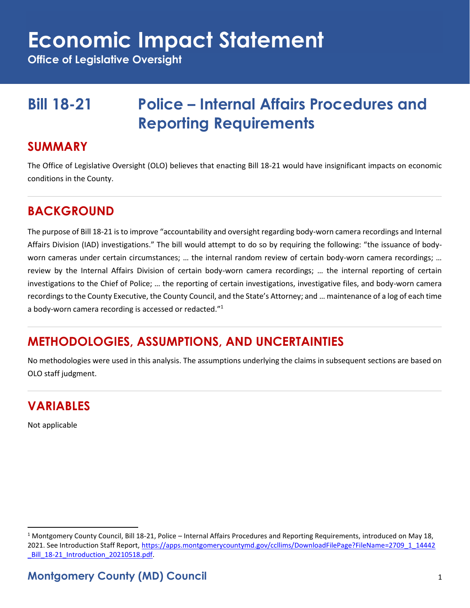# **Economic Impact Statement**

**Office of Legislative Oversight**

# **Bill 18-21 Police – Internal Affairs Procedures and Reporting Requirements**

#### **SUMMARY**

The Office of Legislative Oversight (OLO) believes that enacting Bill 18-21 would have insignificant impacts on economic conditions in the County.

### **BACKGROUND**

The purpose of Bill 18-21 is to improve "accountability and oversight regarding body-worn camera recordings and Internal Affairs Division (IAD) investigations." The bill would attempt to do so by requiring the following: "the issuance of bodyworn cameras under certain circumstances; ... the internal random review of certain body-worn camera recordings; ... review by the Internal Affairs Division of certain body-worn camera recordings; … the internal reporting of certain investigations to the Chief of Police; … the reporting of certain investigations, investigative files, and body-worn camera recordings to the County Executive, the County Council, and the State's Attorney; and … maintenance of a log of each time a body-worn camera recording is accessed or redacted."<sup>1</sup>

#### **METHODOLOGIES, ASSUMPTIONS, AND UNCERTAINTIES**

No methodologies were used in this analysis. The assumptions underlying the claims in subsequent sections are based on OLO staff judgment.

#### **VARIABLES**

Not applicable

 $1$  Montgomery County Council, Bill 18-21, Police – Internal Affairs Procedures and Reporting Requirements, introduced on May 18, 2021. See Introduction Staff Report[, https://apps.montgomerycountymd.gov/ccllims/DownloadFilePage?FileName=2709\\_1\\_14442](https://apps.montgomerycountymd.gov/ccllims/DownloadFilePage?FileName=2709_1_14442_Bill_18-21_Introduction_20210518.pdf) Bill 18-21 Introduction 20210518.pdf.